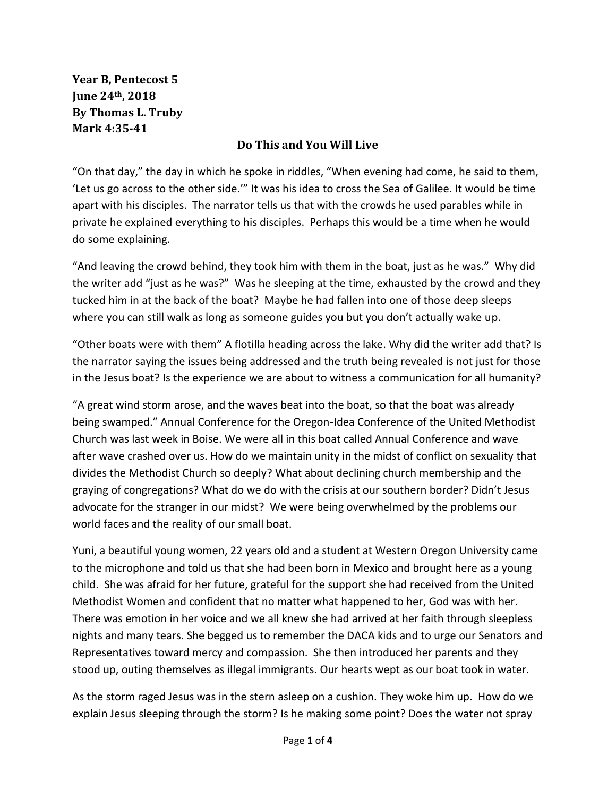**Year B, Pentecost 5 June 24th, 2018 By Thomas L. Truby Mark 4:35-41**

## **Do This and You Will Live**

"On that day," the day in which he spoke in riddles, "When evening had come, he said to them, 'Let us go across to the other side.'" It was his idea to cross the Sea of Galilee. It would be time apart with his disciples. The narrator tells us that with the crowds he used parables while in private he explained everything to his disciples. Perhaps this would be a time when he would do some explaining.

"And leaving the crowd behind, they took him with them in the boat, just as he was." Why did the writer add "just as he was?" Was he sleeping at the time, exhausted by the crowd and they tucked him in at the back of the boat? Maybe he had fallen into one of those deep sleeps where you can still walk as long as someone guides you but you don't actually wake up.

"Other boats were with them" A flotilla heading across the lake. Why did the writer add that? Is the narrator saying the issues being addressed and the truth being revealed is not just for those in the Jesus boat? Is the experience we are about to witness a communication for all humanity?

"A great wind storm arose, and the waves beat into the boat, so that the boat was already being swamped." Annual Conference for the Oregon-Idea Conference of the United Methodist Church was last week in Boise. We were all in this boat called Annual Conference and wave after wave crashed over us. How do we maintain unity in the midst of conflict on sexuality that divides the Methodist Church so deeply? What about declining church membership and the graying of congregations? What do we do with the crisis at our southern border? Didn't Jesus advocate for the stranger in our midst? We were being overwhelmed by the problems our world faces and the reality of our small boat.

Yuni, a beautiful young women, 22 years old and a student at Western Oregon University came to the microphone and told us that she had been born in Mexico and brought here as a young child. She was afraid for her future, grateful for the support she had received from the United Methodist Women and confident that no matter what happened to her, God was with her. There was emotion in her voice and we all knew she had arrived at her faith through sleepless nights and many tears. She begged us to remember the DACA kids and to urge our Senators and Representatives toward mercy and compassion. She then introduced her parents and they stood up, outing themselves as illegal immigrants. Our hearts wept as our boat took in water.

As the storm raged Jesus was in the stern asleep on a cushion. They woke him up. How do we explain Jesus sleeping through the storm? Is he making some point? Does the water not spray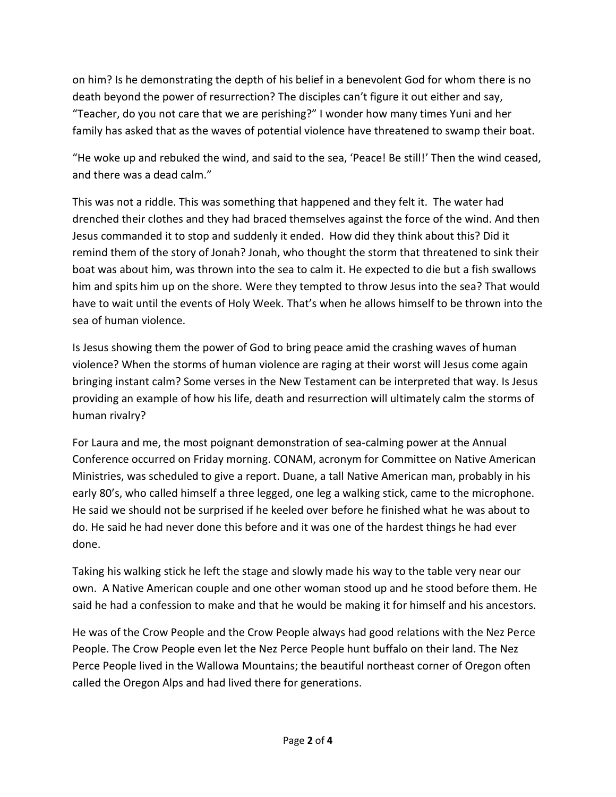on him? Is he demonstrating the depth of his belief in a benevolent God for whom there is no death beyond the power of resurrection? The disciples can't figure it out either and say, "Teacher, do you not care that we are perishing?" I wonder how many times Yuni and her family has asked that as the waves of potential violence have threatened to swamp their boat.

"He woke up and rebuked the wind, and said to the sea, 'Peace! Be still!' Then the wind ceased, and there was a dead calm."

This was not a riddle. This was something that happened and they felt it. The water had drenched their clothes and they had braced themselves against the force of the wind. And then Jesus commanded it to stop and suddenly it ended. How did they think about this? Did it remind them of the story of Jonah? Jonah, who thought the storm that threatened to sink their boat was about him, was thrown into the sea to calm it. He expected to die but a fish swallows him and spits him up on the shore. Were they tempted to throw Jesus into the sea? That would have to wait until the events of Holy Week. That's when he allows himself to be thrown into the sea of human violence.

Is Jesus showing them the power of God to bring peace amid the crashing waves of human violence? When the storms of human violence are raging at their worst will Jesus come again bringing instant calm? Some verses in the New Testament can be interpreted that way. Is Jesus providing an example of how his life, death and resurrection will ultimately calm the storms of human rivalry?

For Laura and me, the most poignant demonstration of sea-calming power at the Annual Conference occurred on Friday morning. CONAM, acronym for Committee on Native American Ministries, was scheduled to give a report. Duane, a tall Native American man, probably in his early 80's, who called himself a three legged, one leg a walking stick, came to the microphone. He said we should not be surprised if he keeled over before he finished what he was about to do. He said he had never done this before and it was one of the hardest things he had ever done.

Taking his walking stick he left the stage and slowly made his way to the table very near our own. A Native American couple and one other woman stood up and he stood before them. He said he had a confession to make and that he would be making it for himself and his ancestors.

He was of the Crow People and the Crow People always had good relations with the Nez Perce People. The Crow People even let the Nez Perce People hunt buffalo on their land. The Nez Perce People lived in the Wallowa Mountains; the beautiful northeast corner of Oregon often called the Oregon Alps and had lived there for generations.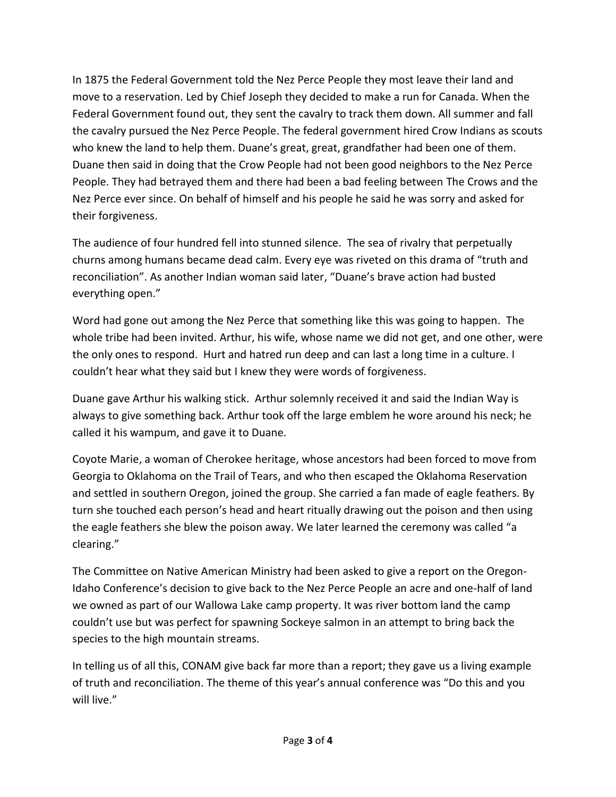In 1875 the Federal Government told the Nez Perce People they most leave their land and move to a reservation. Led by Chief Joseph they decided to make a run for Canada. When the Federal Government found out, they sent the cavalry to track them down. All summer and fall the cavalry pursued the Nez Perce People. The federal government hired Crow Indians as scouts who knew the land to help them. Duane's great, great, grandfather had been one of them. Duane then said in doing that the Crow People had not been good neighbors to the Nez Perce People. They had betrayed them and there had been a bad feeling between The Crows and the Nez Perce ever since. On behalf of himself and his people he said he was sorry and asked for their forgiveness.

The audience of four hundred fell into stunned silence. The sea of rivalry that perpetually churns among humans became dead calm. Every eye was riveted on this drama of "truth and reconciliation". As another Indian woman said later, "Duane's brave action had busted everything open."

Word had gone out among the Nez Perce that something like this was going to happen. The whole tribe had been invited. Arthur, his wife, whose name we did not get, and one other, were the only ones to respond. Hurt and hatred run deep and can last a long time in a culture. I couldn't hear what they said but I knew they were words of forgiveness.

Duane gave Arthur his walking stick. Arthur solemnly received it and said the Indian Way is always to give something back. Arthur took off the large emblem he wore around his neck; he called it his wampum, and gave it to Duane.

Coyote Marie, a woman of Cherokee heritage, whose ancestors had been forced to move from Georgia to Oklahoma on the Trail of Tears, and who then escaped the Oklahoma Reservation and settled in southern Oregon, joined the group. She carried a fan made of eagle feathers. By turn she touched each person's head and heart ritually drawing out the poison and then using the eagle feathers she blew the poison away. We later learned the ceremony was called "a clearing."

The Committee on Native American Ministry had been asked to give a report on the Oregon-Idaho Conference's decision to give back to the Nez Perce People an acre and one-half of land we owned as part of our Wallowa Lake camp property. It was river bottom land the camp couldn't use but was perfect for spawning Sockeye salmon in an attempt to bring back the species to the high mountain streams.

In telling us of all this, CONAM give back far more than a report; they gave us a living example of truth and reconciliation. The theme of this year's annual conference was "Do this and you will live."